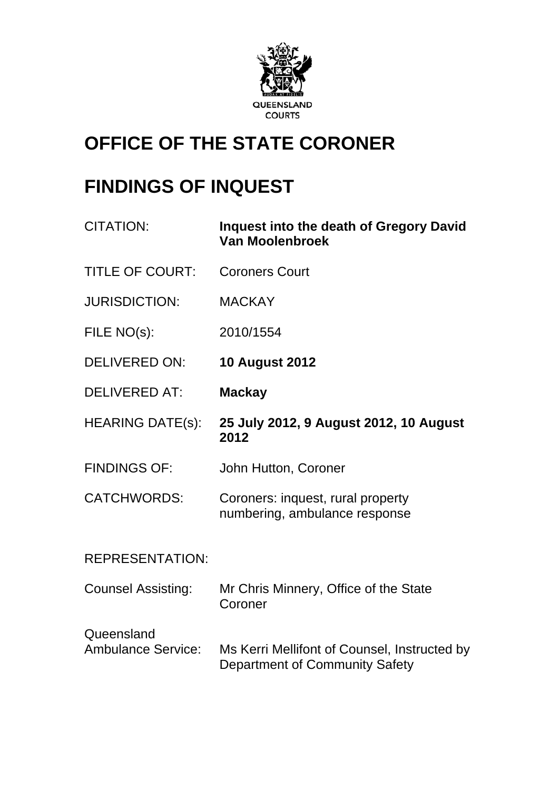

# **OFFICE OF THE STATE CORONER**

# **FINDINGS OF INQUEST**

| <b>CITATION:</b>                        | <b>Inquest into the death of Gregory David</b><br><b>Van Moolenbroek</b>       |
|-----------------------------------------|--------------------------------------------------------------------------------|
| <b>TITLE OF COURT:</b>                  | <b>Coroners Court</b>                                                          |
| <b>JURISDICTION:</b>                    | <b>MACKAY</b>                                                                  |
| FILE NO(s):                             | 2010/1554                                                                      |
| <b>DELIVERED ON:</b>                    | <b>10 August 2012</b>                                                          |
| <b>DELIVERED AT:</b>                    | <b>Mackay</b>                                                                  |
| <b>HEARING DATE(s):</b>                 | 25 July 2012, 9 August 2012, 10 August<br>2012                                 |
| <b>FINDINGS OF:</b>                     | John Hutton, Coroner                                                           |
| <b>CATCHWORDS:</b>                      | Coroners: inquest, rural property<br>numbering, ambulance response             |
| <b>REPRESENTATION:</b>                  |                                                                                |
| <b>Counsel Assisting:</b>               | Mr Chris Minnery, Office of the State<br>Coroner                               |
| Queensland<br><b>Ambulance Service:</b> | Ms Kerri Mellifont of Counsel, Instructed by<br>Department of Community Safety |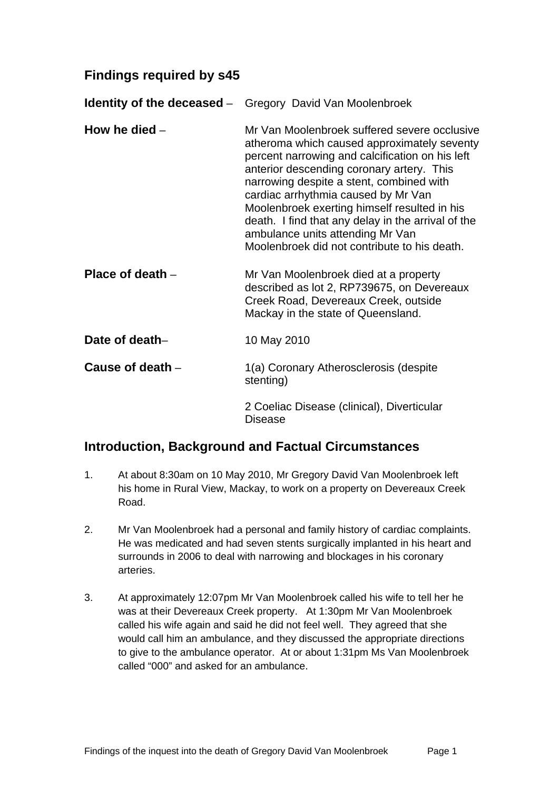### **Findings required by s45**

**Identity of the deceased** – Gregory David Van Moolenbroek **How he died** – Mr Van Moolenbroek suffered severe occlusive atheroma which caused approximately seventy percent narrowing and calcification on his left anterior descending coronary artery. This narrowing despite a stent, combined with cardiac arrhythmia caused by Mr Van Moolenbroek exerting himself resulted in his death. I find that any delay in the arrival of the ambulance units attending Mr Van Moolenbroek did not contribute to his death. **Place of death** – Mr Van Moolenbroek died at a property described as lot 2, RP739675, on Devereaux Creek Road, Devereaux Creek, outside Mackay in the state of Queensland. **Date of death–** 10 May 2010 **Cause of death** – 1(a) Coronary Atherosclerosis (despite stenting) 2 Coeliac Disease (clinical), Diverticular Disease

#### **Introduction, Background and Factual Circumstances**

- 1. At about 8:30am on 10 May 2010, Mr Gregory David Van Moolenbroek left his home in Rural View, Mackay, to work on a property on Devereaux Creek Road.
- 2. Mr Van Moolenbroek had a personal and family history of cardiac complaints. He was medicated and had seven stents surgically implanted in his heart and surrounds in 2006 to deal with narrowing and blockages in his coronary arteries.
- 3. At approximately 12:07pm Mr Van Moolenbroek called his wife to tell her he was at their Devereaux Creek property. At 1:30pm Mr Van Moolenbroek called his wife again and said he did not feel well. They agreed that she would call him an ambulance, and they discussed the appropriate directions to give to the ambulance operator. At or about 1:31pm Ms Van Moolenbroek called "000" and asked for an ambulance.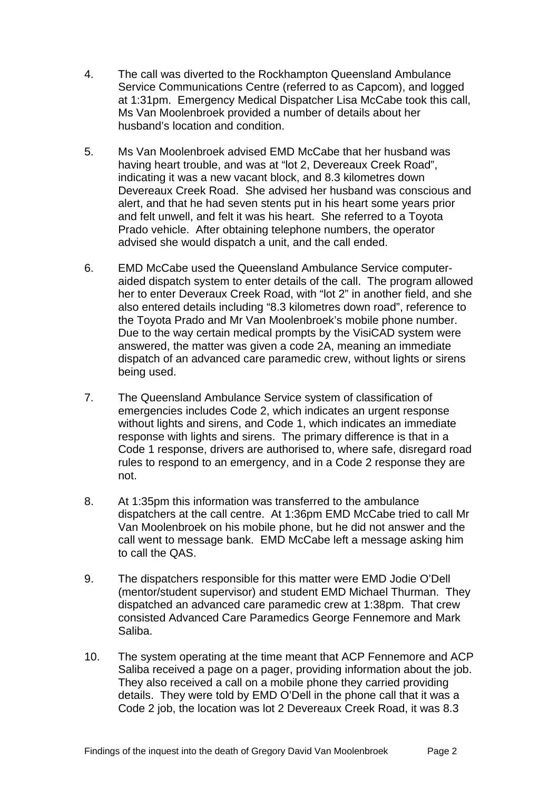- 4. The call was diverted to the Rockhampton Queensland Ambulance Service Communications Centre (referred to as Capcom), and logged at 1:31pm. Emergency Medical Dispatcher Lisa McCabe took this call, Ms Van Moolenbroek provided a number of details about her husband's location and condition.
- 5. Ms Van Moolenbroek advised EMD McCabe that her husband was having heart trouble, and was at "lot 2, Devereaux Creek Road", indicating it was a new vacant block, and 8.3 kilometres down Devereaux Creek Road. She advised her husband was conscious and alert, and that he had seven stents put in his heart some years prior and felt unwell, and felt it was his heart. She referred to a Toyota Prado vehicle. After obtaining telephone numbers, the operator advised she would dispatch a unit, and the call ended.
- 6. EMD McCabe used the Queensland Ambulance Service computeraided dispatch system to enter details of the call. The program allowed her to enter Deveraux Creek Road, with "lot 2" in another field, and she also entered details including "8.3 kilometres down road", reference to the Toyota Prado and Mr Van Moolenbroek's mobile phone number. Due to the way certain medical prompts by the VisiCAD system were answered, the matter was given a code 2A, meaning an immediate dispatch of an advanced care paramedic crew, without lights or sirens being used.
- 7. The Queensland Ambulance Service system of classification of emergencies includes Code 2, which indicates an urgent response without lights and sirens, and Code 1, which indicates an immediate response with lights and sirens. The primary difference is that in a Code 1 response, drivers are authorised to, where safe, disregard road rules to respond to an emergency, and in a Code 2 response they are not.
- 8. At 1:35pm this information was transferred to the ambulance dispatchers at the call centre. At 1:36pm EMD McCabe tried to call Mr Van Moolenbroek on his mobile phone, but he did not answer and the call went to message bank. EMD McCabe left a message asking him to call the QAS.
- 9. The dispatchers responsible for this matter were EMD Jodie O'Dell (mentor/student supervisor) and student EMD Michael Thurman. They dispatched an advanced care paramedic crew at 1:38pm. That crew consisted Advanced Care Paramedics George Fennemore and Mark Saliba.
- 10. The system operating at the time meant that ACP Fennemore and ACP Saliba received a page on a pager, providing information about the job. They also received a call on a mobile phone they carried providing details. They were told by EMD O'Dell in the phone call that it was a Code 2 job, the location was lot 2 Devereaux Creek Road, it was 8.3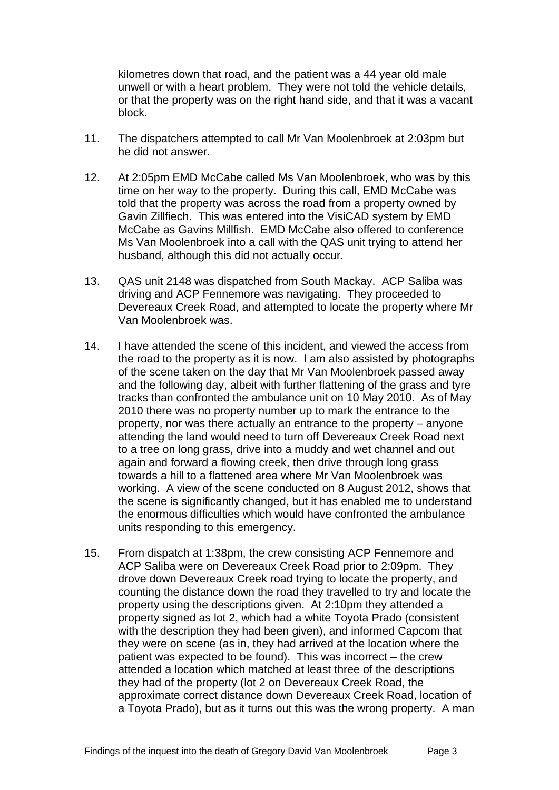kilometres down that road, and the patient was a 44 year old male unwell or with a heart problem. They were not told the vehicle details, or that the property was on the right hand side, and that it was a vacant block.

- 11. The dispatchers attempted to call Mr Van Moolenbroek at 2:03pm but he did not answer.
- 12. At 2:05pm EMD McCabe called Ms Van Moolenbroek, who was by this time on her way to the property. During this call, EMD McCabe was told that the property was across the road from a property owned by Gavin Zillfiech. This was entered into the VisiCAD system by EMD McCabe as Gavins Millfish. EMD McCabe also offered to conference Ms Van Moolenbroek into a call with the QAS unit trying to attend her husband, although this did not actually occur.
- 13. QAS unit 2148 was dispatched from South Mackay. ACP Saliba was driving and ACP Fennemore was navigating. They proceeded to Devereaux Creek Road, and attempted to locate the property where Mr Van Moolenbroek was.
- 14. I have attended the scene of this incident, and viewed the access from the road to the property as it is now. I am also assisted by photographs of the scene taken on the day that Mr Van Moolenbroek passed away and the following day, albeit with further flattening of the grass and tyre tracks than confronted the ambulance unit on 10 May 2010. As of May 2010 there was no property number up to mark the entrance to the property, nor was there actually an entrance to the property – anyone attending the land would need to turn off Devereaux Creek Road next to a tree on long grass, drive into a muddy and wet channel and out again and forward a flowing creek, then drive through long grass towards a hill to a flattened area where Mr Van Moolenbroek was working. A view of the scene conducted on 8 August 2012, shows that the scene is significantly changed, but it has enabled me to understand the enormous difficulties which would have confronted the ambulance units responding to this emergency.
- 15. From dispatch at 1:38pm, the crew consisting ACP Fennemore and ACP Saliba were on Devereaux Creek Road prior to 2:09pm. They drove down Devereaux Creek road trying to locate the property, and counting the distance down the road they travelled to try and locate the property using the descriptions given. At 2:10pm they attended a property signed as lot 2, which had a white Toyota Prado (consistent with the description they had been given), and informed Capcom that they were on scene (as in, they had arrived at the location where the patient was expected to be found). This was incorrect – the crew attended a location which matched at least three of the descriptions they had of the property (lot 2 on Devereaux Creek Road, the approximate correct distance down Devereaux Creek Road, location of a Toyota Prado), but as it turns out this was the wrong property. A man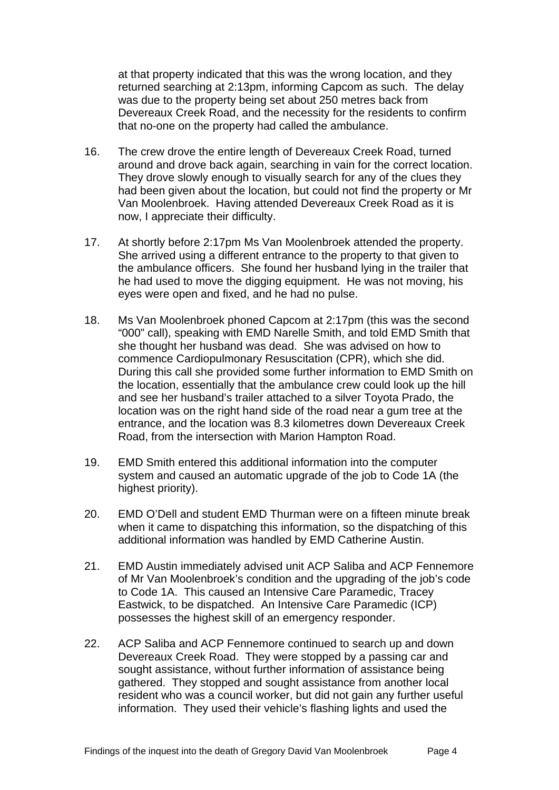at that property indicated that this was the wrong location, and they returned searching at 2:13pm, informing Capcom as such. The delay was due to the property being set about 250 metres back from Devereaux Creek Road, and the necessity for the residents to confirm that no-one on the property had called the ambulance.

- 16. The crew drove the entire length of Devereaux Creek Road, turned around and drove back again, searching in vain for the correct location. They drove slowly enough to visually search for any of the clues they had been given about the location, but could not find the property or Mr Van Moolenbroek. Having attended Devereaux Creek Road as it is now, I appreciate their difficulty.
- 17. At shortly before 2:17pm Ms Van Moolenbroek attended the property. She arrived using a different entrance to the property to that given to the ambulance officers. She found her husband lying in the trailer that he had used to move the digging equipment. He was not moving, his eyes were open and fixed, and he had no pulse.
- 18. Ms Van Moolenbroek phoned Capcom at 2:17pm (this was the second "000" call), speaking with EMD Narelle Smith, and told EMD Smith that she thought her husband was dead. She was advised on how to commence Cardiopulmonary Resuscitation (CPR), which she did. During this call she provided some further information to EMD Smith on the location, essentially that the ambulance crew could look up the hill and see her husband's trailer attached to a silver Toyota Prado, the location was on the right hand side of the road near a gum tree at the entrance, and the location was 8.3 kilometres down Devereaux Creek Road, from the intersection with Marion Hampton Road.
- 19. EMD Smith entered this additional information into the computer system and caused an automatic upgrade of the job to Code 1A (the highest priority).
- 20. EMD O'Dell and student EMD Thurman were on a fifteen minute break when it came to dispatching this information, so the dispatching of this additional information was handled by EMD Catherine Austin.
- 21. EMD Austin immediately advised unit ACP Saliba and ACP Fennemore of Mr Van Moolenbroek's condition and the upgrading of the job's code to Code 1A. This caused an Intensive Care Paramedic, Tracey Eastwick, to be dispatched. An Intensive Care Paramedic (ICP) possesses the highest skill of an emergency responder.
- 22. ACP Saliba and ACP Fennemore continued to search up and down Devereaux Creek Road. They were stopped by a passing car and sought assistance, without further information of assistance being gathered. They stopped and sought assistance from another local resident who was a council worker, but did not gain any further useful information. They used their vehicle's flashing lights and used the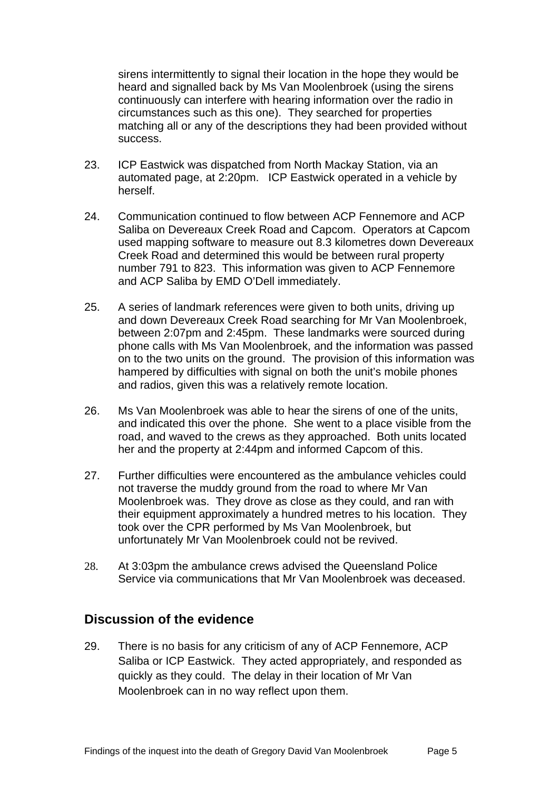sirens intermittently to signal their location in the hope they would be heard and signalled back by Ms Van Moolenbroek (using the sirens continuously can interfere with hearing information over the radio in circumstances such as this one). They searched for properties matching all or any of the descriptions they had been provided without success.

- 23. ICP Eastwick was dispatched from North Mackay Station, via an automated page, at 2:20pm. ICP Eastwick operated in a vehicle by herself.
- 24. Communication continued to flow between ACP Fennemore and ACP Saliba on Devereaux Creek Road and Capcom. Operators at Capcom used mapping software to measure out 8.3 kilometres down Devereaux Creek Road and determined this would be between rural property number 791 to 823. This information was given to ACP Fennemore and ACP Saliba by EMD O'Dell immediately.
- 25. A series of landmark references were given to both units, driving up and down Devereaux Creek Road searching for Mr Van Moolenbroek, between 2:07pm and 2:45pm. These landmarks were sourced during phone calls with Ms Van Moolenbroek, and the information was passed on to the two units on the ground. The provision of this information was hampered by difficulties with signal on both the unit's mobile phones and radios, given this was a relatively remote location.
- 26. Ms Van Moolenbroek was able to hear the sirens of one of the units, and indicated this over the phone. She went to a place visible from the road, and waved to the crews as they approached. Both units located her and the property at 2:44pm and informed Capcom of this.
- 27. Further difficulties were encountered as the ambulance vehicles could not traverse the muddy ground from the road to where Mr Van Moolenbroek was. They drove as close as they could, and ran with their equipment approximately a hundred metres to his location. They took over the CPR performed by Ms Van Moolenbroek, but unfortunately Mr Van Moolenbroek could not be revived.
- 28. At 3:03pm the ambulance crews advised the Queensland Police Service via communications that Mr Van Moolenbroek was deceased.

#### **Discussion of the evidence**

29. There is no basis for any criticism of any of ACP Fennemore, ACP Saliba or ICP Eastwick. They acted appropriately, and responded as quickly as they could. The delay in their location of Mr Van Moolenbroek can in no way reflect upon them.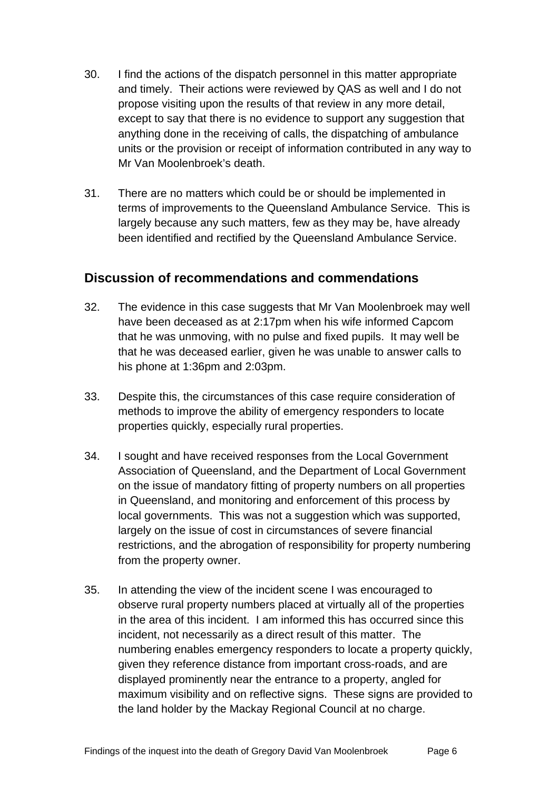- 30. I find the actions of the dispatch personnel in this matter appropriate and timely. Their actions were reviewed by QAS as well and I do not propose visiting upon the results of that review in any more detail, except to say that there is no evidence to support any suggestion that anything done in the receiving of calls, the dispatching of ambulance units or the provision or receipt of information contributed in any way to Mr Van Moolenbroek's death.
- 31. There are no matters which could be or should be implemented in terms of improvements to the Queensland Ambulance Service. This is largely because any such matters, few as they may be, have already been identified and rectified by the Queensland Ambulance Service.

### **Discussion of recommendations and commendations**

- 32. The evidence in this case suggests that Mr Van Moolenbroek may well have been deceased as at 2:17pm when his wife informed Capcom that he was unmoving, with no pulse and fixed pupils. It may well be that he was deceased earlier, given he was unable to answer calls to his phone at 1:36pm and 2:03pm.
- 33. Despite this, the circumstances of this case require consideration of methods to improve the ability of emergency responders to locate properties quickly, especially rural properties.
- 34. I sought and have received responses from the Local Government Association of Queensland, and the Department of Local Government on the issue of mandatory fitting of property numbers on all properties in Queensland, and monitoring and enforcement of this process by local governments. This was not a suggestion which was supported, largely on the issue of cost in circumstances of severe financial restrictions, and the abrogation of responsibility for property numbering from the property owner.
- 35. In attending the view of the incident scene I was encouraged to observe rural property numbers placed at virtually all of the properties in the area of this incident. I am informed this has occurred since this incident, not necessarily as a direct result of this matter. The numbering enables emergency responders to locate a property quickly, given they reference distance from important cross-roads, and are displayed prominently near the entrance to a property, angled for maximum visibility and on reflective signs. These signs are provided to the land holder by the Mackay Regional Council at no charge.